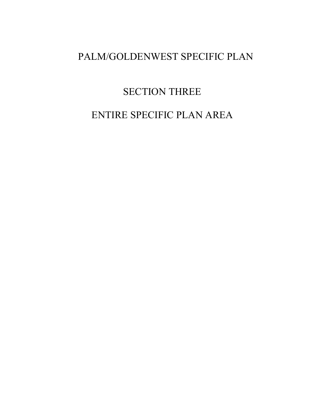## PALM/GOLDENWEST SPECIFIC PLAN

# SECTION THREE

# ENTIRE SPECIFIC PLAN AREA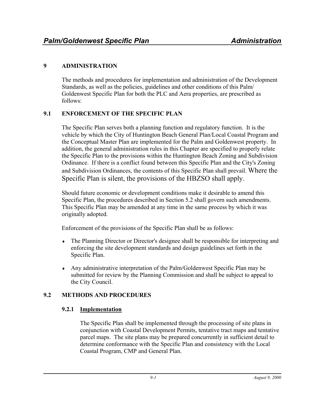## **9 ADMINISTRATION**

The methods and procedures for implementation and administration of the Development Standards, as well as the policies, guidelines and other conditions of this Palm/ Goldenwest Specific Plan for both the PLC and Aera properties, are prescribed as follows:

## **9.1 ENFORCEMENT OF THE SPECIFIC PLAN**

The Specific Plan serves both a planning function and regulatory function. It is the vehicle by which the City of Huntington Beach General Plan/Local Coastal Program and the Conceptual Master Plan are implemented for the Palm and Goldenwest property. In addition, the general administration rules in this Chapter are specified to properly relate the Specific Plan to the provisions within the Huntington Beach Zoning and Subdivision Ordinance. If there is a conflict found between this Specific Plan and the City's Zoning and Subdivision Ordinances, the contents of this Specific Plan shall prevail. Where the Specific Plan is silent, the provisions of the HBZSO shall apply.

Should future economic or development conditions make it desirable to amend this Specific Plan, the procedures described in Section 5.2 shall govern such amendments. This Specific Plan may be amended at any time in the same process by which it was originally adopted.

Enforcement of the provisions of the Specific Plan shall be as follows:

- The Planning Director or Director's designee shall be responsible for interpreting and enforcing the site development standards and design guidelines set forth in the Specific Plan.
- ♦ Any administrative interpretation of the Palm/Goldenwest Specific Plan may be submitted for review by the Planning Commission and shall be subject to appeal to the City Council.

## **9.2 METHODS AND PROCEDURES**

## **9.2.1 Implementation**

The Specific Plan shall be implemented through the processing of site plans in conjunction with Coastal Development Permits, tentative tract maps and tentative parcel maps. The site plans may be prepared concurrently in sufficient detail to determine conformance with the Specific Plan and consistency with the Local Coastal Program, CMP and General Plan.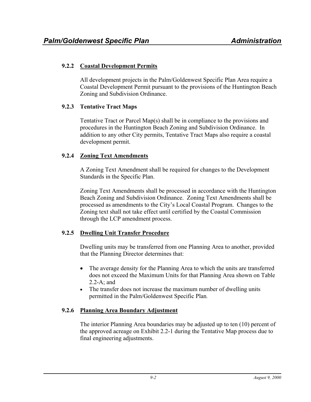## **9.2.2 Coastal Development Permits**

All development projects in the Palm/Goldenwest Specific Plan Area require a Coastal Development Permit pursuant to the provisions of the Huntington Beach Zoning and Subdivision Ordinance.

## **9.2.3 Tentative Tract Maps**

Tentative Tract or Parcel Map(s) shall be in compliance to the provisions and procedures in the Huntington Beach Zoning and Subdivision Ordinance. In addition to any other City permits, Tentative Tract Maps also require a coastal development permit.

#### **9.2.4 Zoning Text Amendments**

A Zoning Text Amendment shall be required for changes to the Development Standards in the Specific Plan.

Zoning Text Amendments shall be processed in accordance with the Huntington Beach Zoning and Subdivision Ordinance. Zoning Text Amendments shall be processed as amendments to the City's Local Coastal Program. Changes to the Zoning text shall not take effect until certified by the Coastal Commission through the LCP amendment process.

## **9.2.5 Dwelling Unit Transfer Procedure**

Dwelling units may be transferred from one Planning Area to another, provided that the Planning Director determines that:

- The average density for the Planning Area to which the units are transferred does not exceed the Maximum Units for that Planning Area shown on Table 2.2-A; and
- The transfer does not increase the maximum number of dwelling units permitted in the Palm/Goldenwest Specific Plan.

## **9.2.6 Planning Area Boundary Adjustment**

The interior Planning Area boundaries may be adjusted up to ten (10) percent of the approved acreage on Exhibit 2.2-1 during the Tentative Map process due to final engineering adjustments.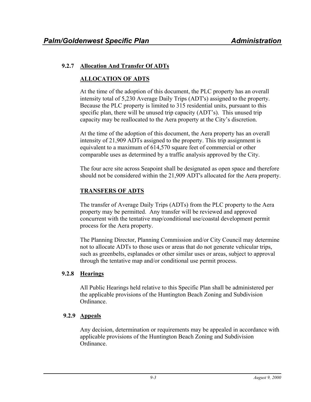## **9.2.7 Allocation And Transfer Of ADTs**

## **ALLOCATION OF ADTS**

At the time of the adoption of this document, the PLC property has an overall intensity total of 5,230 Average Daily Trips (ADT's) assigned to the property. Because the PLC property is limited to 315 residential units, pursuant to this specific plan, there will be unused trip capacity (ADT's). This unused trip capacity may be reallocated to the Aera property at the City's discretion.

At the time of the adoption of this document, the Aera property has an overall intensity of 21,909 ADTs assigned to the property. This trip assignment is equivalent to a maximum of 614,570 square feet of commercial or other comparable uses as determined by a traffic analysis approved by the City.

The four acre site across Seapoint shall be designated as open space and therefore should not be considered within the 21,909 ADT's allocated for the Aera property.

## **TRANSFERS OF ADTS**

The transfer of Average Daily Trips (ADTs) from the PLC property to the Aera property may be permitted. Any transfer will be reviewed and approved concurrent with the tentative map/conditional use/coastal development permit process for the Aera property.

The Planning Director, Planning Commission and/or City Council may determine not to allocate ADTs to those uses or areas that do not generate vehicular trips, such as greenbelts, esplanades or other similar uses or areas, subject to approval through the tentative map and/or conditional use permit process.

## **9.2.8 Hearings**

All Public Hearings held relative to this Specific Plan shall be administered per the applicable provisions of the Huntington Beach Zoning and Subdivision Ordinance.

## **9.2.9 Appeals**

Any decision, determination or requirements may be appealed in accordance with applicable provisions of the Huntington Beach Zoning and Subdivision Ordinance.